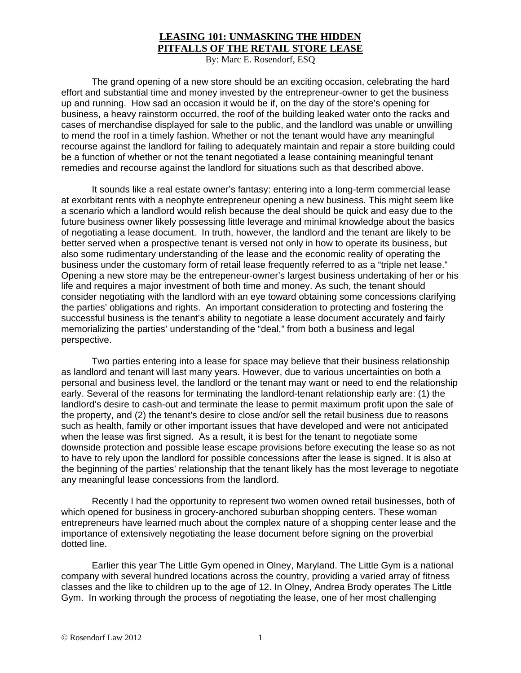## **LEASING 101: UNMASKING THE HIDDEN PITFALLS OF THE RETAIL STORE LEASE**

By: Marc E. Rosendorf, ESQ

The grand opening of a new store should be an exciting occasion, celebrating the hard effort and substantial time and money invested by the entrepreneur-owner to get the business up and running. How sad an occasion it would be if, on the day of the store's opening for business, a heavy rainstorm occurred, the roof of the building leaked water onto the racks and cases of merchandise displayed for sale to the public, and the landlord was unable or unwilling to mend the roof in a timely fashion. Whether or not the tenant would have any meaningful recourse against the landlord for failing to adequately maintain and repair a store building could be a function of whether or not the tenant negotiated a lease containing meaningful tenant remedies and recourse against the landlord for situations such as that described above.

 It sounds like a real estate owner's fantasy: entering into a long-term commercial lease at exorbitant rents with a neophyte entrepreneur opening a new business. This might seem like a scenario which a landlord would relish because the deal should be quick and easy due to the future business owner likely possessing little leverage and minimal knowledge about the basics of negotiating a lease document. In truth, however, the landlord and the tenant are likely to be better served when a prospective tenant is versed not only in how to operate its business, but also some rudimentary understanding of the lease and the economic reality of operating the business under the customary form of retail lease frequently referred to as a "triple net lease." Opening a new store may be the entrepeneur-owner's largest business undertaking of her or his life and requires a major investment of both time and money. As such, the tenant should consider negotiating with the landlord with an eye toward obtaining some concessions clarifying the parties' obligations and rights. An important consideration to protecting and fostering the successful business is the tenant's ability to negotiate a lease document accurately and fairly memorializing the parties' understanding of the "deal," from both a business and legal perspective.

 Two parties entering into a lease for space may believe that their business relationship as landlord and tenant will last many years. However, due to various uncertainties on both a personal and business level, the landlord or the tenant may want or need to end the relationship early. Several of the reasons for terminating the landlord-tenant relationship early are: (1) the landlord's desire to cash-out and terminate the lease to permit maximum profit upon the sale of the property, and (2) the tenant's desire to close and/or sell the retail business due to reasons such as health, family or other important issues that have developed and were not anticipated when the lease was first signed. As a result, it is best for the tenant to negotiate some downside protection and possible lease escape provisions before executing the lease so as not to have to rely upon the landlord for possible concessions after the lease is signed. It is also at the beginning of the parties' relationship that the tenant likely has the most leverage to negotiate any meaningful lease concessions from the landlord.

 Recently I had the opportunity to represent two women owned retail businesses, both of which opened for business in grocery-anchored suburban shopping centers. These woman entrepreneurs have learned much about the complex nature of a shopping center lease and the importance of extensively negotiating the lease document before signing on the proverbial dotted line.

 Earlier this year The Little Gym opened in Olney, Maryland. The Little Gym is a national company with several hundred locations across the country, providing a varied array of fitness classes and the like to children up to the age of 12. In Olney, Andrea Brody operates The Little Gym. In working through the process of negotiating the lease, one of her most challenging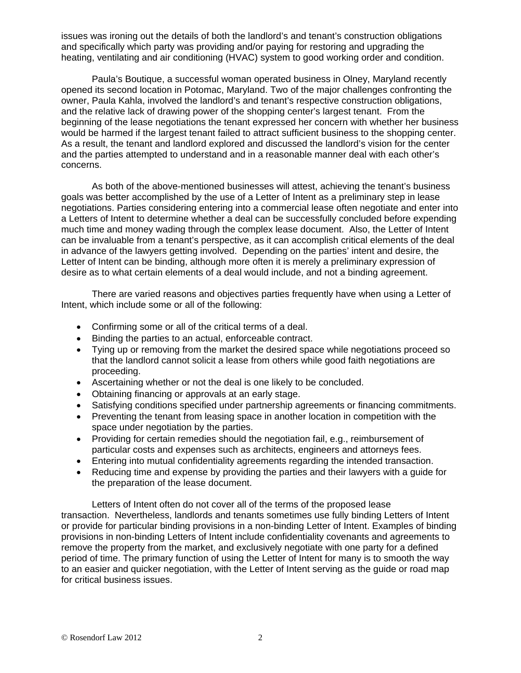issues was ironing out the details of both the landlord's and tenant's construction obligations and specifically which party was providing and/or paying for restoring and upgrading the heating, ventilating and air conditioning (HVAC) system to good working order and condition.

 Paula's Boutique, a successful woman operated business in Olney, Maryland recently opened its second location in Potomac, Maryland. Two of the major challenges confronting the owner, Paula Kahla, involved the landlord's and tenant's respective construction obligations, and the relative lack of drawing power of the shopping center's largest tenant. From the beginning of the lease negotiations the tenant expressed her concern with whether her business would be harmed if the largest tenant failed to attract sufficient business to the shopping center. As a result, the tenant and landlord explored and discussed the landlord's vision for the center and the parties attempted to understand and in a reasonable manner deal with each other's concerns.

 As both of the above-mentioned businesses will attest, achieving the tenant's business goals was better accomplished by the use of a Letter of Intent as a preliminary step in lease negotiations. Parties considering entering into a commercial lease often negotiate and enter into a Letters of Intent to determine whether a deal can be successfully concluded before expending much time and money wading through the complex lease document. Also, the Letter of Intent can be invaluable from a tenant's perspective, as it can accomplish critical elements of the deal in advance of the lawyers getting involved. Depending on the parties' intent and desire, the Letter of Intent can be binding, although more often it is merely a preliminary expression of desire as to what certain elements of a deal would include, and not a binding agreement.

 There are varied reasons and objectives parties frequently have when using a Letter of Intent, which include some or all of the following:

- Confirming some or all of the critical terms of a deal.
- Binding the parties to an actual, enforceable contract.
- Tying up or removing from the market the desired space while negotiations proceed so that the landlord cannot solicit a lease from others while good faith negotiations are proceeding.
- Ascertaining whether or not the deal is one likely to be concluded.
- Obtaining financing or approvals at an early stage.
- Satisfying conditions specified under partnership agreements or financing commitments.
- Preventing the tenant from leasing space in another location in competition with the space under negotiation by the parties.
- Providing for certain remedies should the negotiation fail, e.g., reimbursement of particular costs and expenses such as architects, engineers and attorneys fees.
- Entering into mutual confidentiality agreements regarding the intended transaction.
- Reducing time and expense by providing the parties and their lawyers with a guide for the preparation of the lease document.

Letters of Intent often do not cover all of the terms of the proposed lease transaction. Nevertheless, landlords and tenants sometimes use fully binding Letters of Intent or provide for particular binding provisions in a non-binding Letter of Intent. Examples of binding provisions in non-binding Letters of Intent include confidentiality covenants and agreements to remove the property from the market, and exclusively negotiate with one party for a defined period of time. The primary function of using the Letter of Intent for many is to smooth the way to an easier and quicker negotiation, with the Letter of Intent serving as the guide or road map for critical business issues.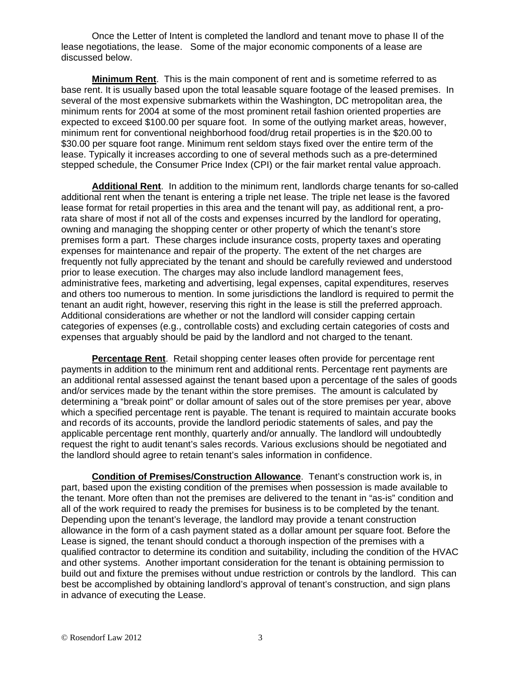Once the Letter of Intent is completed the landlord and tenant move to phase II of the lease negotiations, the lease. Some of the major economic components of a lease are discussed below.

**Minimum Rent**. This is the main component of rent and is sometime referred to as base rent. It is usually based upon the total leasable square footage of the leased premises. In several of the most expensive submarkets within the Washington, DC metropolitan area, the minimum rents for 2004 at some of the most prominent retail fashion oriented properties are expected to exceed \$100.00 per square foot. In some of the outlying market areas, however, minimum rent for conventional neighborhood food/drug retail properties is in the \$20.00 to \$30.00 per square foot range. Minimum rent seldom stays fixed over the entire term of the lease. Typically it increases according to one of several methods such as a pre-determined stepped schedule, the Consumer Price Index (CPI) or the fair market rental value approach.

**Additional Rent**. In addition to the minimum rent, landlords charge tenants for so-called additional rent when the tenant is entering a triple net lease. The triple net lease is the favored lease format for retail properties in this area and the tenant will pay, as additional rent, a prorata share of most if not all of the costs and expenses incurred by the landlord for operating, owning and managing the shopping center or other property of which the tenant's store premises form a part. These charges include insurance costs, property taxes and operating expenses for maintenance and repair of the property. The extent of the net charges are frequently not fully appreciated by the tenant and should be carefully reviewed and understood prior to lease execution. The charges may also include landlord management fees, administrative fees, marketing and advertising, legal expenses, capital expenditures, reserves and others too numerous to mention. In some jurisdictions the landlord is required to permit the tenant an audit right, however, reserving this right in the lease is still the preferred approach. Additional considerations are whether or not the landlord will consider capping certain categories of expenses (e.g., controllable costs) and excluding certain categories of costs and expenses that arguably should be paid by the landlord and not charged to the tenant.

**Percentage Rent**. Retail shopping center leases often provide for percentage rent payments in addition to the minimum rent and additional rents. Percentage rent payments are an additional rental assessed against the tenant based upon a percentage of the sales of goods and/or services made by the tenant within the store premises. The amount is calculated by determining a "break point" or dollar amount of sales out of the store premises per year, above which a specified percentage rent is payable. The tenant is required to maintain accurate books and records of its accounts, provide the landlord periodic statements of sales, and pay the applicable percentage rent monthly, quarterly and/or annually. The landlord will undoubtedly request the right to audit tenant's sales records. Various exclusions should be negotiated and the landlord should agree to retain tenant's sales information in confidence.

**Condition of Premises/Construction Allowance**. Tenant's construction work is, in part, based upon the existing condition of the premises when possession is made available to the tenant. More often than not the premises are delivered to the tenant in "as-is" condition and all of the work required to ready the premises for business is to be completed by the tenant. Depending upon the tenant's leverage, the landlord may provide a tenant construction allowance in the form of a cash payment stated as a dollar amount per square foot. Before the Lease is signed, the tenant should conduct a thorough inspection of the premises with a qualified contractor to determine its condition and suitability, including the condition of the HVAC and other systems. Another important consideration for the tenant is obtaining permission to build out and fixture the premises without undue restriction or controls by the landlord. This can best be accomplished by obtaining landlord's approval of tenant's construction, and sign plans in advance of executing the Lease.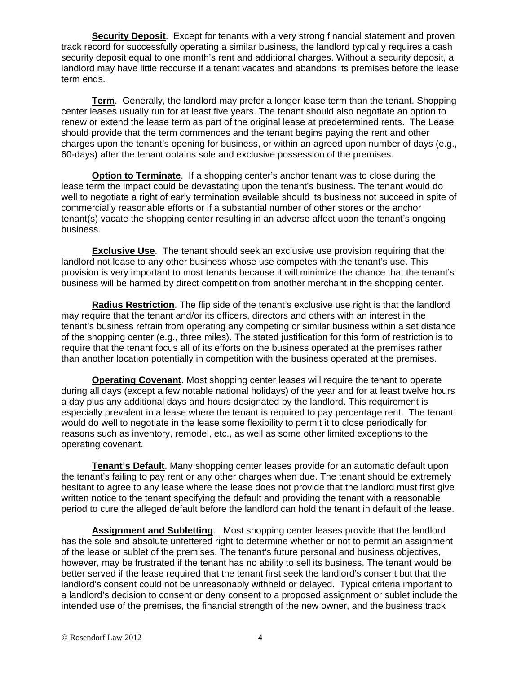**Security Deposit**. Except for tenants with a very strong financial statement and proven track record for successfully operating a similar business, the landlord typically requires a cash security deposit equal to one month's rent and additional charges. Without a security deposit, a landlord may have little recourse if a tenant vacates and abandons its premises before the lease term ends.

**Term**. Generally, the landlord may prefer a longer lease term than the tenant. Shopping center leases usually run for at least five years. The tenant should also negotiate an option to renew or extend the lease term as part of the original lease at predetermined rents. The Lease should provide that the term commences and the tenant begins paying the rent and other charges upon the tenant's opening for business, or within an agreed upon number of days (e.g., 60-days) after the tenant obtains sole and exclusive possession of the premises.

**Option to Terminate**. If a shopping center's anchor tenant was to close during the lease term the impact could be devastating upon the tenant's business. The tenant would do well to negotiate a right of early termination available should its business not succeed in spite of commercially reasonable efforts or if a substantial number of other stores or the anchor tenant(s) vacate the shopping center resulting in an adverse affect upon the tenant's ongoing business.

**Exclusive Use**. The tenant should seek an exclusive use provision requiring that the landlord not lease to any other business whose use competes with the tenant's use. This provision is very important to most tenants because it will minimize the chance that the tenant's business will be harmed by direct competition from another merchant in the shopping center.

**Radius Restriction**. The flip side of the tenant's exclusive use right is that the landlord may require that the tenant and/or its officers, directors and others with an interest in the tenant's business refrain from operating any competing or similar business within a set distance of the shopping center (e.g., three miles). The stated justification for this form of restriction is to require that the tenant focus all of its efforts on the business operated at the premises rather than another location potentially in competition with the business operated at the premises.

**Operating Covenant**. Most shopping center leases will require the tenant to operate during all days (except a few notable national holidays) of the year and for at least twelve hours a day plus any additional days and hours designated by the landlord. This requirement is especially prevalent in a lease where the tenant is required to pay percentage rent. The tenant would do well to negotiate in the lease some flexibility to permit it to close periodically for reasons such as inventory, remodel, etc., as well as some other limited exceptions to the operating covenant.

**Tenant's Default**. Many shopping center leases provide for an automatic default upon the tenant's failing to pay rent or any other charges when due. The tenant should be extremely hesitant to agree to any lease where the lease does not provide that the landlord must first give written notice to the tenant specifying the default and providing the tenant with a reasonable period to cure the alleged default before the landlord can hold the tenant in default of the lease.

**Assignment and Subletting**. Most shopping center leases provide that the landlord has the sole and absolute unfettered right to determine whether or not to permit an assignment of the lease or sublet of the premises. The tenant's future personal and business objectives, however, may be frustrated if the tenant has no ability to sell its business. The tenant would be better served if the lease required that the tenant first seek the landlord's consent but that the landlord's consent could not be unreasonably withheld or delayed. Typical criteria important to a landlord's decision to consent or deny consent to a proposed assignment or sublet include the intended use of the premises, the financial strength of the new owner, and the business track